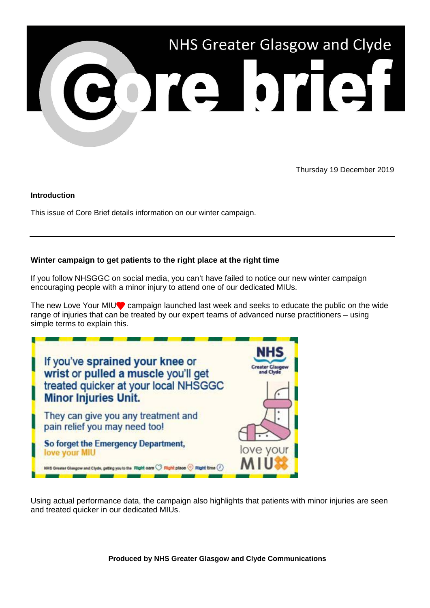

Thursday 19 December 2019

## **Introduction**

This issue of Core Brief details information on our winter campaign.

## **Winter campaign to get patients to the right place at the right time**

If you follow NHSGGC on social media, you can't have failed to notice our new winter campaign encouraging people with a minor injury to attend one of our dedicated MIUs.

The new Love Your MIU<sup>®</sup> campaign launched last week and seeks to educate the public on the wide range of injuries that can be treated by our expert teams of advanced nurse practitioners – using simple terms to explain this.



Using actual performance data, the campaign also highlights that patients with minor injuries are seen and treated quicker in our dedicated MIUs.

**Produced by NHS Greater Glasgow and Clyde Communications**